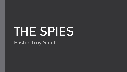# THE SPIES Pastor Troy Smith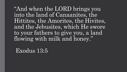"And when the LORD brings you into the land of Canaanites, the Hittites, the Amorites, the Hivites, and the Jebusites, which He swore to your fathers to give you, a land flowing with milk and honey."

Exodus 13:5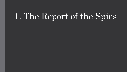### 1. The Report of the Spies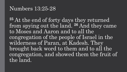#### Numbers 13:25-28

**<sup>25</sup>** At the end of forty days they returned from spying out the land. **<sup>26</sup>** And they came to Moses and Aaron and to all the congregation of the people of Israel in the wilderness of Paran, at Kadesh. They brought back word to them and to all the congregation, and showed them the fruit of the land.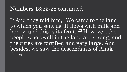#### Numbers 13:25-28 continued

**<sup>27</sup>** And they told him, "We came to the land to which you sent us. It flows with milk and honey, and this is its fruit. **<sup>28</sup>** However, the people who dwell in the land are strong, and the cities are fortified and very large. And besides, we saw the descendants of Anak there.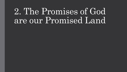### 2. The Promises of God are our Promised Land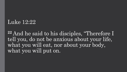#### Luke 12:22

**<sup>22</sup>** And he said to his disciples, "Therefore I tell you, do not be anxious about your life, what you will eat, nor about your body, what you will put on.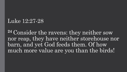#### Luke 12:27-28

**<sup>24</sup>** Consider the ravens: they neither sow nor reap, they have neither storehouse nor barn, and yet God feeds them. Of how much more value are you than the birds!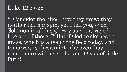#### Luke 12:27-28

**<sup>27</sup>** Consider the lilies, how they grow: they neither toil nor spin, yet I tell you, even Solomon in all his glory was not arrayed like one of these. **<sup>28</sup>** But if God so clothes the grass, which is alive in the field today, and tomorrow is thrown into the oven, how much more will he clothe you, O you of little faith!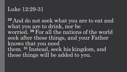#### Luke 12:29-31

**<sup>29</sup>** And do not seek what you are to eat and what you are to drink, nor be worried. **<sup>30</sup>** For all the nations of the world seek after these things, and your Father knows that you need them. **<sup>31</sup>** Instead, seek his kingdom, and these things will be added to you.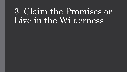### 3. Claim the Promises or Live in the Wilderness

- 
-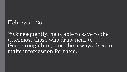#### Hebrews 7:25

**<sup>25</sup>** Consequently, he is able to save to the uttermost those who draw near to God through him, since he always lives to make intercession for them.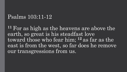#### Psalms 103:11-12

**<sup>11</sup>** For as high as the heavens are above the earth, so great is his steadfast love toward those who fear him; **<sup>12</sup>** as far as the east is from the west, so far does he remove our transgressions from us.